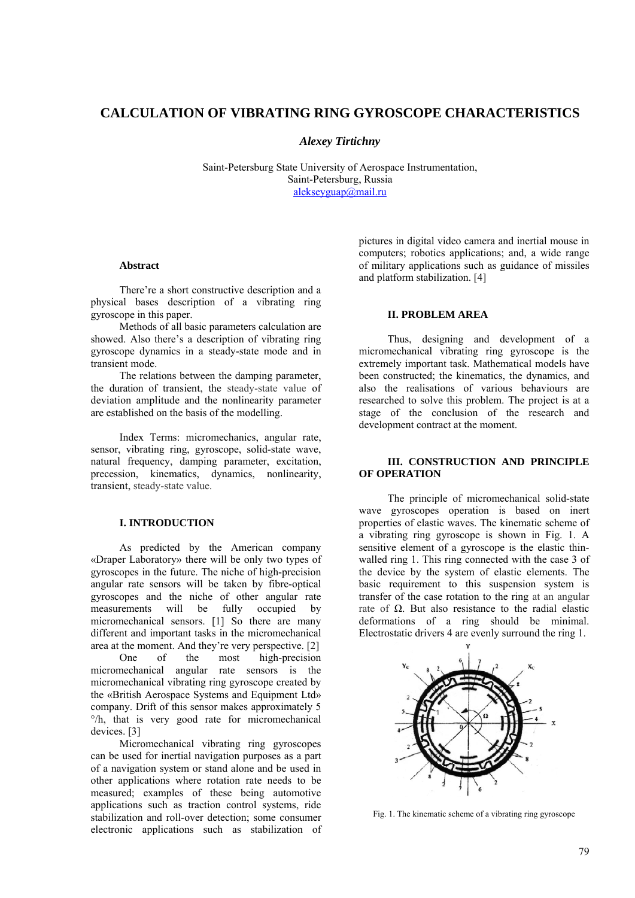# **CALCULATION OF VIBRATING RING GYROSCOPE CHARACTERISTICS**

*Alexey Tirtichny* 

Saint-Petersburg State University of Aerospace Instrumentation, Saint-Petersburg, Russia alekseyguap@mail.ru

### **Abstract**

There're a short constructive description and a physical bases description of a vibrating ring gyroscope in this paper.

Methods of all basic parameters calculation are showed. Also there's a description of vibrating ring gyroscope dynamics in a steady-state mode and in transient mode.

The relations between the damping parameter, the duration of transient, the steady-state value of deviation amplitude and the nonlinearity parameter are established on the basis of the modelling.

Index Terms: micromechanics, angular rate, sensor, vibrating ring, gyroscope, solid-state wave, natural frequency, damping parameter, excitation, precession, kinematics, dynamics, nonlinearity, transient, steady-state value.

### **I. INTRODUCTION**

As predicted by the American company «Draper Laboratory» there will be only two types of gyroscopes in the future. The niche of high-precision angular rate sensors will be taken by fibre-optical gyroscopes and the niche of other angular rate measurements will be fully occupied by micromechanical sensors. [1] So there are many different and important tasks in the micromechanical area at the moment. And they're very perspective. [2]

One of the most high-precision micromechanical angular rate sensors is the micromechanical vibrating ring gyroscope created by the «British Aerospace Systems and Equipment Ltd» company. Drift of this sensor makes approximately 5 °/h, that is very good rate for micromechanical devices. [3]

Micromechanical vibrating ring gyroscopes can be used for inertial navigation purposes as a part of a navigation system or stand alone and be used in other applications where rotation rate needs to be measured; examples of these being automotive applications such as traction control systems, ride stabilization and roll-over detection; some consumer electronic applications such as stabilization of pictures in digital video camera and inertial mouse in computers; robotics applications; and, a wide range of military applications such as guidance of missiles and platform stabilization. [4]

### **II. PROBLEM AREA**

Thus, designing and development of a micromechanical vibrating ring gyroscope is the extremely important task. Mathematical models have been constructed; the kinematics, the dynamics, and also the realisations of various behaviours are researched to solve this problem. The project is at a stage of the conclusion of the research and development contract at the moment.

### **III. CONSTRUCTION AND PRINCIPLE OF OPERATION**

The principle of micromechanical solid-state wave gyroscopes operation is based on inert properties of elastic waves. The kinematic scheme of a vibrating ring gyroscope is shown in Fig. 1. A sensitive element of a gyroscope is the elastic thinwalled ring 1. This ring connected with the case 3 of the device by the system of elastic elements. The basic requirement to this suspension system is transfer of the case rotation to the ring at an angular rate of Ω. But also resistance to the radial elastic deformations of a ring should be minimal. Electrostatic drivers 4 are evenly surround the ring 1.



Fig. 1. The kinematic scheme of a vibrating ring gyroscope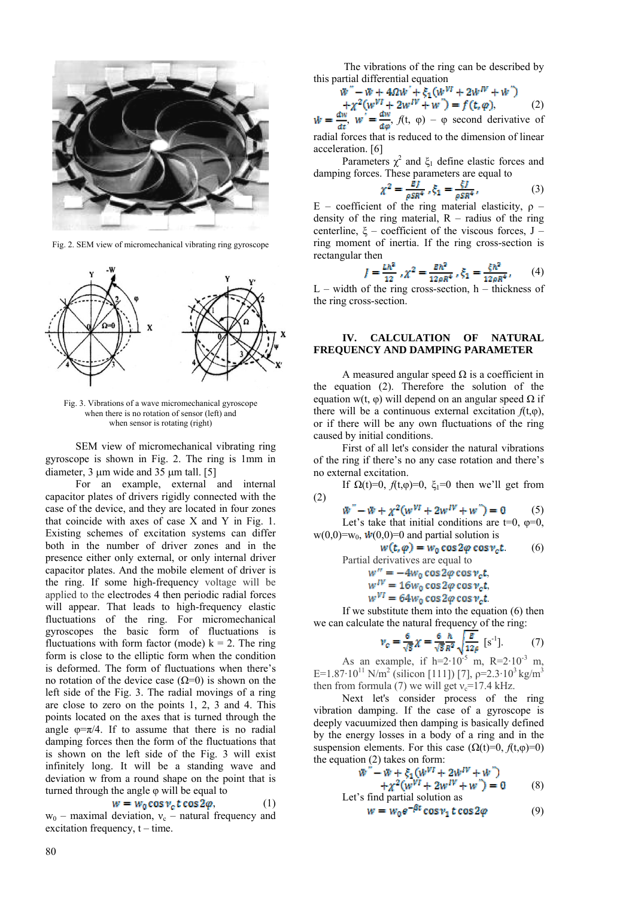

Fig. 2. SEM view of micromechanical vibrating ring gyroscope



Fig. 3. Vibrations of a wave micromechanical gyroscope when there is no rotation of sensor (left) and when sensor is rotating (right)

SEM view of micromechanical vibrating ring gyroscope is shown in Fig. 2. The ring is 1mm in diameter, 3 μm wide and 35 μm tall. [5]

For an example, external and internal capacitor plates of drivers rigidly connected with the case of the device, and they are located in four zones that coincide with axes of case X and Y in Fig. 1. Existing schemes of excitation systems can differ both in the number of driver zones and in the presence either only external, or only internal driver capacitor plates. And the mobile element of driver is the ring. If some high-frequency voltage will be applied to the electrodes 4 then periodic radial forces will appear. That leads to high-frequency elastic fluctuations of the ring. For micromechanical gyroscopes the basic form of fluctuations is fluctuations with form factor (mode)  $k = 2$ . The ring form is close to the elliptic form when the condition is deformed. The form of fluctuations when there's no rotation of the device case  $(Ω=0)$  is shown on the left side of the Fig. 3. The radial movings of a ring are close to zero on the points 1, 2, 3 and 4. This points located on the axes that is turned through the angle  $\varphi = \pi/4$ . If to assume that there is no radial damping forces then the form of the fluctuations that is shown on the left side of the Fig. 3 will exist infinitely long. It will be a standing wave and deviation w from a round shape on the point that is turned through the angle φ will be equal to

$$
w = w_0 \cos v_c t \cos 2\varphi, \qquad (1)
$$

 $w_0$  – maximal deviation,  $v_c$  – natural frequency and excitation frequency,  $t - time$ .

The vibrations of the ring can be described by this partial differential equation

$$
\begin{aligned} \n\tilde{w}'' - \tilde{w} + 4\Omega \tilde{w}' + \xi_1 (\tilde{w}^{VI} + 2\tilde{w}^{IV} + \tilde{w}') \\ \n+ \chi^2 (\tilde{w}^{VI} + 2\tilde{w}^{IV} + \tilde{w}') &= f(t, \varphi), \n\end{aligned} \tag{2}
$$

,  $w = \frac{dw}{dx}$ ,  $f(t, \varphi) - \varphi$  second derivative of radial forces that is reduced to the dimension of linear acceleration. [6]

Parameters  $\chi^2$  and  $\xi_1$  define elastic forces and damping forces. These parameters are equal to

$$
\zeta^2 = \frac{EI}{\rho SR^4}, \xi_1 = \frac{\xi I}{\rho SR^4},
$$
 (3)

E – coefficient of the ring material elasticity,  $\rho$  – density of the ring material,  $R -$  radius of the ring centerline,  $\xi$  – coefficient of the viscous forces, J – ring moment of inertia. If the ring cross-section is rectangular then

$$
I = \frac{\hbar k^2}{12} \, \, \mathcal{X}^2 = \frac{\hbar k^2}{12\rho R^4} \, \, \mathcal{E}_1 = \frac{\xi \hbar^2}{12\rho R^4} \, \, (4)
$$

 $L$  – width of the ring cross-section, h – thickness of the ring cross-section.

#### **IV. CALCULATION OF NATURAL FREQUENCY AND DAMPING PARAMETER**

A measured angular speed  $\Omega$  is a coefficient in the equation (2). Therefore the solution of the equation w(t, φ) will depend on an angular speed  $\Omega$  if there will be a continuous external excitation  $f(t, \varphi)$ , or if there will be any own fluctuations of the ring caused by initial conditions.

First of all let's consider the natural vibrations of the ring if there's no any case rotation and there's no external excitation.

If  $\Omega(t)=0$ ,  $f(t, \varphi)=0$ ,  $\xi_1=0$  then we'll get from (2)

 $\ddot{w}$ " –  $\ddot{w} + \chi^2 (w^{VI} + 2w^{IV} + w^{\prime\prime}) = 0$  (5) Let's take that initial conditions are t=0,  $\varphi$ =0,  $w(0,0)=w_0$ ,  $\dot{w}(0,0)=0$  and partial solution is

$$
w(t, \varphi) = w_0 \cos 2\varphi \cos v_c t. \qquad (6)
$$

Partial derivatives are equal to

,  $\frac{W}{W}$ 

$$
w_{vr}^{IV} = 16w_0 \cos 2\varphi \cos v_c t,
$$

$$
w^{VI} = 64w_0 \cos 2\varphi \cos \nu_c t.
$$

If we substitute them into the equation (6) then we can calculate the natural frequency of the ring:

$$
\nu_c = \frac{6}{\sqrt{5}} \chi = \frac{6}{\sqrt{5}} \frac{h}{R^2} \sqrt{\frac{E}{12\beta}} \text{ [s-1]}.
$$
 (7)

As an example, if  $h=2.10^{-5}$  m,  $R=2.10^{-3}$  m, E=1.87·10<sup>11</sup> N/m<sup>2</sup> (silicon [111]) [7],  $\rho$ =2.3·10<sup>3</sup> kg/m<sup>3</sup> then from formula (7) we will get  $v_c$ =17.4 kHz.

Next let's consider process of the ring vibration damping. If the case of a gyroscope is deeply vacuumized then damping is basically defined by the energy losses in a body of a ring and in the suspension elements. For this case  $(\Omega(t)=0, f(t,\varphi)=0)$ the equation (2) takes on form:

$$
w'' - w + \xi_1(w^{VI} + 2w^{IV} + w'') + \chi^2(w^{VI} + 2w^{IV} + w'') = 0
$$
 (8)  
Let's find partial solution as  

$$
w = w_0 e^{-\beta t} \cos v_1 t \cos 2\varphi
$$
 (9)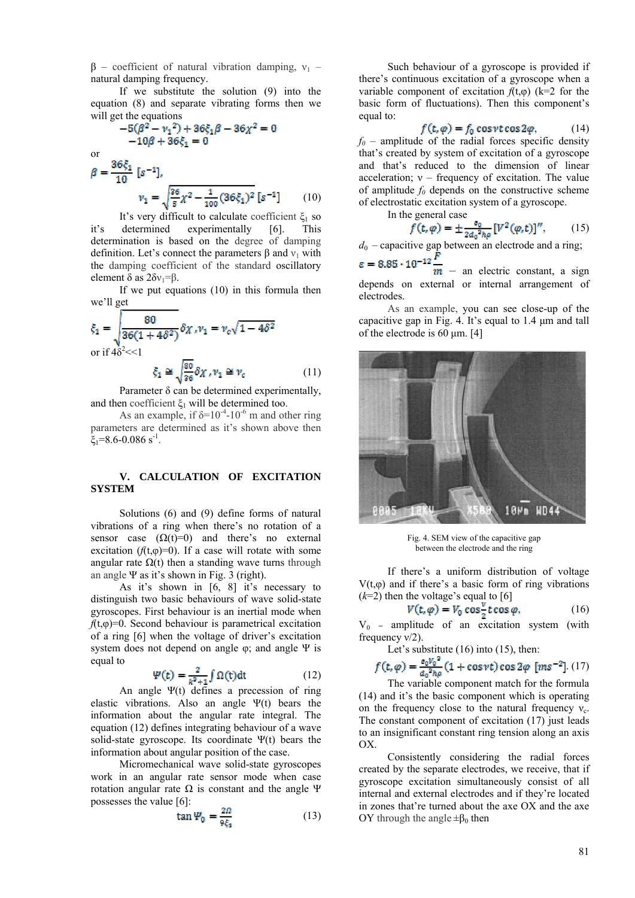$β$  – coefficient of natural vibration damping,  $ν_1$  – natural damping frequency.

If we substitute the solution (9) into the equation (8) and separate vibrating forms then we will get the equations

$$
-5(\beta^2 - \nu_1^2) + 36\xi_1\beta - 36\chi^2 = 0
$$
  
-10\beta + 36\xi\_1 = 0

or β

$$
= \frac{36\xi_1}{10} [s^{-1}],
$$
  

$$
\nu_1 = \sqrt{\frac{26}{s} \chi^2 - \frac{1}{100} (36\xi_1)^2} [s^{-1}]
$$
 (10)

It's very difficult to calculate coefficient  $\xi_1$  so<br>determined experimentally [6]. This it's determined experimentally [6]. This determination is based on the degree of damping definition. Let's connect the parameters  $\beta$  and  $v_1$  with the damping coefficient of the standard oscillatory element  $\delta$  as  $2\delta v_1 = \beta$ .

If we put equations (10) in this formula then we'll get

$$
\xi_1 = \sqrt{\frac{80}{36(1+4\delta^2)}} \delta \chi \, , \nu_1 = \nu_c \sqrt{1-4\delta^2}
$$
\n
$$
\text{or if } 4\delta^2 \ll 1
$$
\n
$$
\xi_1 \cong \sqrt{\frac{80}{36}} \delta \chi \, , \nu_1 \cong \nu_c \tag{11}
$$

Parameter δ can be determined experimentally, and then coefficient  $\xi_1$  will be determined too.

As an example, if  $\delta = 10^{-4}$ -10<sup>-6</sup> m and other ring parameters are determined as it's shown above then  $\xi_1=8.6-0.086$  s<sup>-1</sup>.

### **V. CALCULATION OF EXCITATION SYSTEM**

Solutions (6) and (9) define forms of natural vibrations of a ring when there's no rotation of a sensor case  $(\Omega(t)=0)$  and there's no external excitation  $(f(t, \varphi)=0)$ . If a case will rotate with some angular rate  $Ω(t)$  then a standing wave turns through an angle  $\Psi$  as it's shown in Fig. 3 (right).

As it's shown in [6, 8] it's necessary to distinguish two basic behaviours of wave solid-state gyroscopes. First behaviour is an inertial mode when  $f(t, \varphi) = 0$ . Second behaviour is parametrical excitation of a ring [6] when the voltage of driver's excitation system does not depend on angle  $\varphi$ ; and angle  $\Psi$  is equal to

$$
\Psi(t) = \frac{2}{k^2 + 1} \int \Omega(t) dt \qquad (12)
$$

An angle Ψ(t) defines a precession of ring elastic vibrations. Also an angle  $\Psi(t)$  bears the information about the angular rate integral. The equation (12) defines integrating behaviour of a wave solid-state gyroscope. Its coordinate Ψ(t) bears the information about angular position of the case.

Micromechanical wave solid-state gyroscopes work in an angular rate sensor mode when case rotation angular rate Ω is constant and the angle Ψ possesses the value [6]:

$$
\tan \Psi_0 = \frac{2\Omega}{9\xi_1} \tag{13}
$$

Such behaviour of a gyroscope is provided if there's continuous excitation of a gyroscope when a variable component of excitation  $f(t,\varphi)$  (k=2 for the basic form of fluctuations). Then this component's equal to:

$$
(\mathbf{t}, \varphi) = f_0 \cos \nu t \cos 2\varphi, \qquad (14)
$$

 $f_0$  – amplitude of the radial forces specific density that's created by system of excitation of a gyroscope and that's reduced to the dimension of linear acceleration;  $v$  – frequency of excitation. The value of amplitude  $f_0$  depends on the constructive scheme of electrostatic excitation system of a gyroscope.

In the general case

$$
f(t,\varphi) = \pm \frac{e_0}{2a_0^2 \hbar \varphi} [V^2(\varphi, t)]^n, \qquad (15)
$$

 $d_0$  – capacitive gap between an electrode and a ring;

 $\varepsilon = 8.85 \cdot 10^{-12}$  $\overline{m}$  – an electric constant, a sign depends on external or internal arrangement of electrodes.

As an example, you can see close-up of the capacitive gap in Fig. 4. It's equal to 1.4 μm and tall of the electrode is 60 μm. [4]



Fig. 4. SEM view of the capacitive gap between the electrode and the ring

If there's a uniform distribution of voltage  $V(t, \omega)$  and if there's a basic form of ring vibrations  $(k=2)$  then the voltage's equal to [6]

$$
V(t, \varphi) = V_0 \cos \frac{\theta}{2} t \cos \varphi, \qquad (16)
$$

 $V_0$  – amplitude of an excitation system (with frequency  $v/2$ ).

Let's substitute (16) into (15), then:

$$
f(t,\varphi) = \frac{e_0 v_0^2}{a_0^2 h \varphi} (1 + \cos \nu t) \cos 2\varphi \quad [ms^{-2}] \tag{17}
$$

The variable component match for the formula (14) and it's the basic component which is operating on the frequency close to the natural frequency  $v_c$ . The constant component of excitation (17) just leads to an insignificant constant ring tension along an axis OX.

Consistently considering the radial forces created by the separate electrodes, we receive, that if gyroscope excitation simultaneously consist of all internal and external electrodes and if they're located in zones that're turned about the axe OX and the axe OY through the angle  $\pm$ β<sub>0</sub> then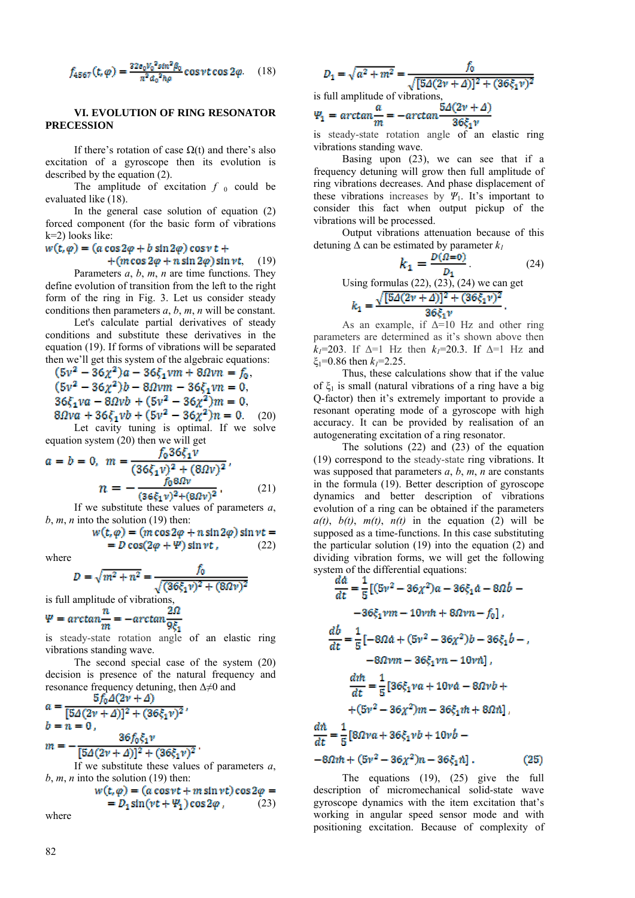$$
f_{4567}(t,\varphi) = \frac{32e_0V_0^2sin^2\beta_0}{\pi^2a_0^2h\varphi}\cos\nu t\cos 2\varphi. \quad (18)
$$

### **VI. EVOLUTION OF RING RESONATOR PRECESSION**

If there's rotation of case  $\Omega(t)$  and there's also excitation of a gyroscope then its evolution is described by the equation (2).

The amplitude of excitation  $f_0$  could be evaluated like (18).

In the general case solution of equation (2) forced component (for the basic form of vibrations k=2) looks like:

## $w(t, \varphi) = (a \cos 2\varphi + b \sin 2\varphi) \cos \nu t +$

 $+(m\cos 2\varphi + n\sin 2\varphi)\sin \nu t$ , (19)

Parameters *a*, *b*, *m*, *n* are time functions. They define evolution of transition from the left to the right form of the ring in Fig. 3. Let us consider steady conditions then parameters *a*, *b*, *m*, *n* will be constant.

Let's calculate partial derivatives of steady conditions and substitute these derivatives in the equation (19). If forms of vibrations will be separated then we'll get this system of the algebraic equations:

$$
(5v2 - 36\chi2)a - 36\xi_1vm + 80v n = f_0,
$$
  
(5v<sup>2</sup> - 36\chi<sup>2</sup>)b - 80v m - 36\xi\_1vn = 0,  
36\xi\_1va - 80vb + (5v<sup>2</sup> - 36\chi<sup>2</sup>)m = 0,  
80v a + 36\xi\_1vb + (5v<sup>2</sup> - 36\chi<sup>2</sup>)n = 0. (20)  
Let cavity tuning is optimal. If we solve

equation system (20) then we will get

$$
a = b = 0, \quad m = \frac{f_0 \cos(1)^2}{(36\xi_1 v)^2 + (80v)^2},
$$
\n
$$
n = -\frac{f_0 80v}{(36\xi_1 v)^2 + (80v)^2}
$$
\n(21)

If we substitute these values of parameters *a*,  *into the solution (19) then:* 

$$
w(t, \varphi) = (m \cos 2\varphi + n \sin 2\varphi) \sin \nu t =
$$
  
=  $D \cos(2\varphi + \Psi) \sin \nu t$ , (22)

where

$$
D = \sqrt{m^2 + n^2} = \frac{f_0}{\sqrt{(36\xi_1 v)^2 + (8\Omega v)^2}}
$$

is full amplitude of vibrations,

$$
\Psi = \arctan\frac{n}{m} = -\arctan\frac{2M}{9\xi_1}
$$

is steady-state rotation angle of an elastic ring vibrations standing wave.

The second special case of the system (20) decision is presence of the natural frequency and resonance frequency detuning, then  $\Delta \neq 0$  and

$$
a = \frac{3f_0 \Delta(2v + \Delta)}{[5\Delta(2v + \Delta)]^2 + (36\xi_1 v)^2},
$$
  
\n
$$
b = n = 0,
$$
  
\n
$$
m = -\frac{36f_0 \xi_1 v}{[5\Delta(2v + \Delta)]^2 + (36\xi_1 v)^2}.
$$

If we substitute these values of parameters *a*, *b*, *m*, *n* into the solution (19) then:

$$
w(t, \varphi) = (a \cos \nu t + m \sin \nu t) \cos 2\varphi == D_1 \sin(\nu t + \Psi_1) \cos 2\varphi, \qquad (23)
$$

where

$$
D_1 = \sqrt{a^2 + m^2} = \frac{f_0}{\sqrt{[5\Delta(2\nu + \Delta)]^2 + (36\xi_1\nu)^2}}
$$
  
is full amplitude of vibrations,  

$$
a = 5\Delta(2\nu + \Delta)
$$

$$
\Psi_1 = \arctan \frac{u}{m} = -\arctan \frac{32(x^2 + 2)}{36\xi_1 v}
$$

is steady-state rotation angle of an elastic ring vibrations standing wave.

Basing upon (23), we can see that if a frequency detuning will grow then full amplitude of ring vibrations decreases. And phase displacement of these vibrations increases by  $\Psi_1$ . It's important to consider this fact when output pickup of the vibrations will be processed.

Output vibrations attenuation because of this detuning  $\Delta$  can be estimated by parameter  $k_l$ 

$$
k_1 = \frac{D(\Omega = 0)}{D_1}.
$$
 (24)

Using formulas  $(22)$ ,  $(23)$ ,  $(24)$  we can get

$$
k_1 = \frac{\sqrt{[5\Delta(2\nu + \Delta)]^2 + (36\xi_1\nu)^2}}{36\xi_1\nu}.
$$

As an example, if  $\Delta=10$  Hz and other ring parameters are determined as it's shown above then  $k_1=203$ . If  $\Delta=1$  Hz then  $k_1=20.3$ . If  $\Delta=1$  Hz and  $\xi_1$ =0.86 then  $k_1$ =2.25.

Thus, these calculations show that if the value of  $\xi_1$  is small (natural vibrations of a ring have a big Q-factor) then it's extremely important to provide a resonant operating mode of a gyroscope with high accuracy. It can be provided by realisation of an autogenerating excitation of a ring resonator.

The solutions (22) and (23) of the equation (19) correspond to the steady-state ring vibrations. It was supposed that parameters  $a, b, m, n$  are constants in the formula (19). Better description of gyroscope dynamics and better description of vibrations evolution of a ring can be obtained if the parameters  $a(t)$ ,  $b(t)$ ,  $m(t)$ ,  $n(t)$  in the equation (2) will be supposed as a time-functions. In this case substituting the particular solution (19) into the equation (2) and dividing vibration forms, we will get the following system of the differential equations:

$$
\frac{da}{dt} = \frac{1}{5} [(5v^2 - 36\chi^2)a - 36\xi_1a - 8ab - 36\xi_1vm - 10v\eta + 80v\eta - f_0],
$$
  
\n
$$
\frac{db}{dt} = \frac{1}{5} [-80a + (5v^2 - 36\chi^2)b - 36\xi_1b - 36v\eta - 36\zeta_1v\eta - 10v\eta],
$$
  
\n
$$
\frac{d\eta}{dt} = \frac{1}{5} [36\xi_1va + 10v\eta - 80v\eta + 36v\eta - 36v\eta - 36v\eta + 16v\eta - 36v\eta + 16v\eta + 16v\eta + 16v\eta + 16v\eta + 16v\eta + 16v\eta + 16v\eta + 16v\eta + 16v\eta + 16v\eta + 16v\eta + 16v\eta + 16v\eta + 16v\eta + 16v\eta + 16v\eta + 16v\eta + 16v\eta + 16v\eta + 16v\eta + 16v\eta + 16v\eta + 16v\eta + 16v\eta + 16v\eta + 16v\eta + 16v\eta + 16v\eta + 16v\eta + 16v\eta + 16v\eta + 16v\eta + 16v\eta + 16v\eta + 16v\eta + 16v\eta + 16v\eta + 16v\eta + 16v\eta + 16v\eta + 16v\eta + 16v\eta + 16v\eta + 16v\eta + 16v\eta + 16v\eta + 16v\eta + 16v\eta + 16v\eta + 16v\eta + 16v\eta + 16v\eta + 16v\eta + 16v\eta + 16v\eta + 16v\eta + 16v\eta + 16v\eta + 16v\eta + 16v\eta + 16v\eta + 16v\eta + 16v\eta + 16v\eta + 16v\eta + 16v\eta + 16v\eta + 16v\eta + 16v\eta + 16v\eta + 16v\eta + 16v\eta + 16v\eta + 16v\eta + 16v\
$$

The equations (19), (25) give the full description of micromechanical solid-state wave gyroscope dynamics with the item excitation that's working in angular speed sensor mode and with positioning excitation. Because of complexity of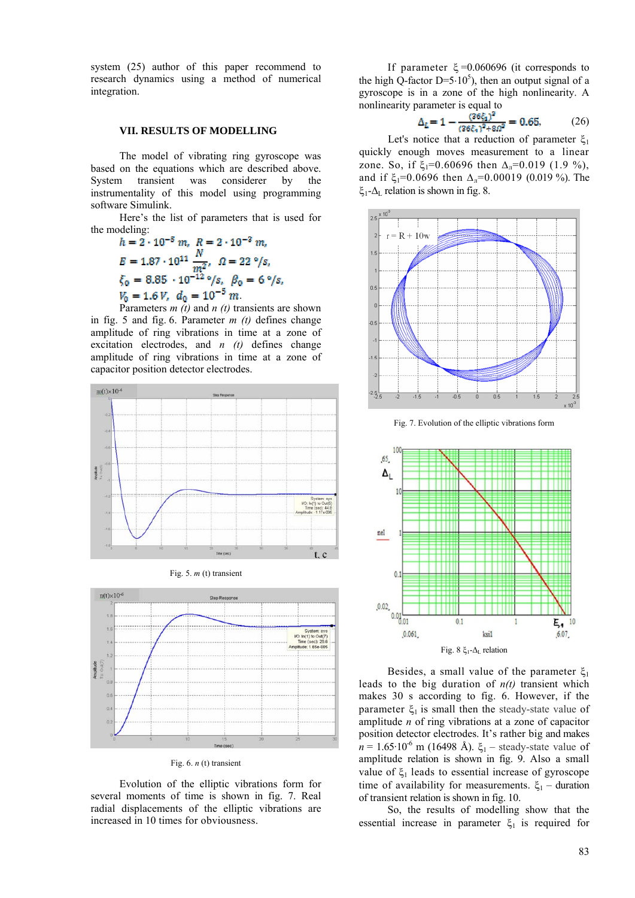system (25) author of this paper recommend to research dynamics using a method of numerical integration.

#### **VII. RESULTS OF MODELLING**

The model of vibrating ring gyroscope was based on the equations which are described above. System transient was considerer by the instrumentality of this model using programming software Simulink.

Here's the list of parameters that is used for the modeling:

$$
h = 2 \cdot 10^{-5} m, \quad R = 2 \cdot 10^{-3} m,
$$
  
\n
$$
E = 1.87 \cdot 10^{11} \frac{N}{m^2}, \quad \Omega = 22 \text{ }^{\circ}/s,
$$
  
\n
$$
\xi_0 = 8.85 \cdot 10^{-12} \text{ }^{\circ}/s, \quad \beta_0 = 6 \text{ }^{\circ}/s,
$$
  
\n
$$
V_0 = 1.6 V, \quad d_0 = 10^{-5} m.
$$

Parameters *m (t)* and *n (t)* transients are shown in fig. 5 and fig. 6. Parameter *m (t)* defines change amplitude of ring vibrations in time at a zone of excitation electrodes, and *n (t)* defines change amplitude of ring vibrations in time at a zone of capacitor position detector electrodes.







Fig. 6. *n* (t) transient

Evolution of the elliptic vibrations form for several moments of time is shown in fig. 7. Real radial displacements of the elliptic vibrations are increased in 10 times for obviousness.

If parameter  $\xi = 0.060696$  (it corresponds to the high Q-factor  $D=5.10^5$ ), then an output signal of a gyroscope is in a zone of the high nonlinearity. A nonlinearity parameter is equal to

$$
\Delta_{L} = 1 - \frac{(36\xi_{1})^{2}}{(36\xi_{1})^{2} + 8a^{2}} = 0.65, \qquad (26)
$$

Let's notice that a reduction of parameter  $ξ_1$ quickly enough moves measurement to a linear zone. So, if  $\xi_1=0.60696$  then  $\Delta_0=0.019$  (1.9 %), and if  $\xi_1=0.0696$  then  $\Delta_\text{n}=0.00019$  (0.019 %). The ξ<sub>1</sub>-Δ<sub>L</sub> relation is shown in fig. 8.



Fig. 7. Evolution of the elliptic vibrations form



Besides, a small value of the parameter  $\xi_1$ leads to the big duration of *n(t)* transient which makes 30 s according to fig. 6. However, if the parameter  $\xi_1$  is small then the steady-state value of amplitude *n* of ring vibrations at a zone of capacitor position detector electrodes. It's rather big and makes  $n = 1.65 \cdot 10^{-6}$  m (16498 Å).  $\xi_1$  – steady-state value of amplitude relation is shown in fig. 9. Also a small value of  $\xi_1$  leads to essential increase of gyroscope time of availability for measurements.  $\xi_1$  – duration of transient relation is shown in fig. 10.

So, the results of modelling show that the essential increase in parameter  $\xi_1$  is required for